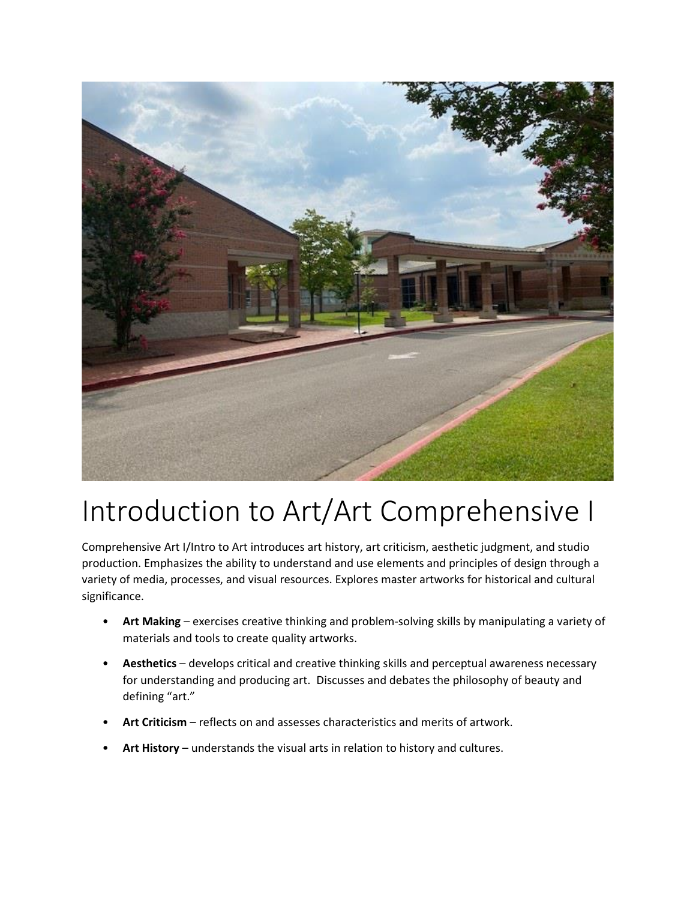

# Introduction to Art/Art Comprehensive I

Comprehensive Art I/Intro to Art introduces art history, art criticism, aesthetic judgment, and studio production. Emphasizes the ability to understand and use elements and principles of design through a variety of media, processes, and visual resources. Explores master artworks for historical and cultural significance.

- **Art Making** exercises creative thinking and problem-solving skills by manipulating a variety of materials and tools to create quality artworks.
- **Aesthetics**  develops critical and creative thinking skills and perceptual awareness necessary for understanding and producing art. Discusses and debates the philosophy of beauty and defining "art."
- **Art Criticism**  reflects on and assesses characteristics and merits of artwork.
- **Art History**  understands the visual arts in relation to history and cultures.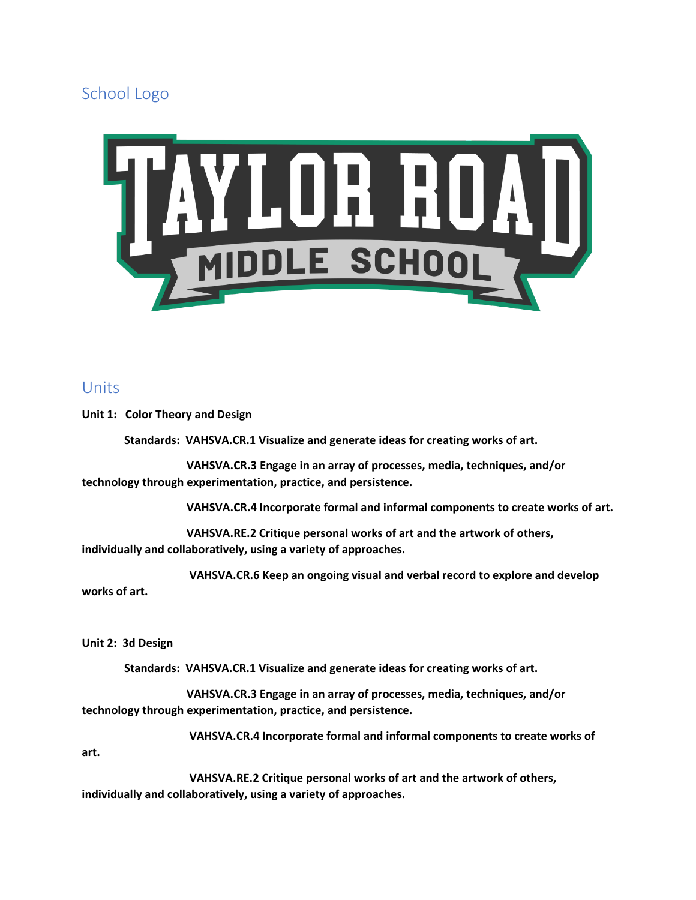School Logo



# Units

**Unit 1: Color Theory and Design**

 **Standards: VAHSVA.CR.1 Visualize and generate ideas for creating works of art.**

 **VAHSVA.CR.3 Engage in an array of processes, media, techniques, and/or technology through experimentation, practice, and persistence.**

 **VAHSVA.CR.4 Incorporate formal and informal components to create works of art.**

 **VAHSVA.RE.2 Critique personal works of art and the artwork of others, individually and collaboratively, using a variety of approaches.**

 **VAHSVA.CR.6 Keep an ongoing visual and verbal record to explore and develop works of art.**

**Unit 2: 3d Design**

 **Standards: VAHSVA.CR.1 Visualize and generate ideas for creating works of art.**

 **VAHSVA.CR.3 Engage in an array of processes, media, techniques, and/or technology through experimentation, practice, and persistence.**

 **VAHSVA.CR.4 Incorporate formal and informal components to create works of** 

**art.** 

 **VAHSVA.RE.2 Critique personal works of art and the artwork of others, individually and collaboratively, using a variety of approaches.**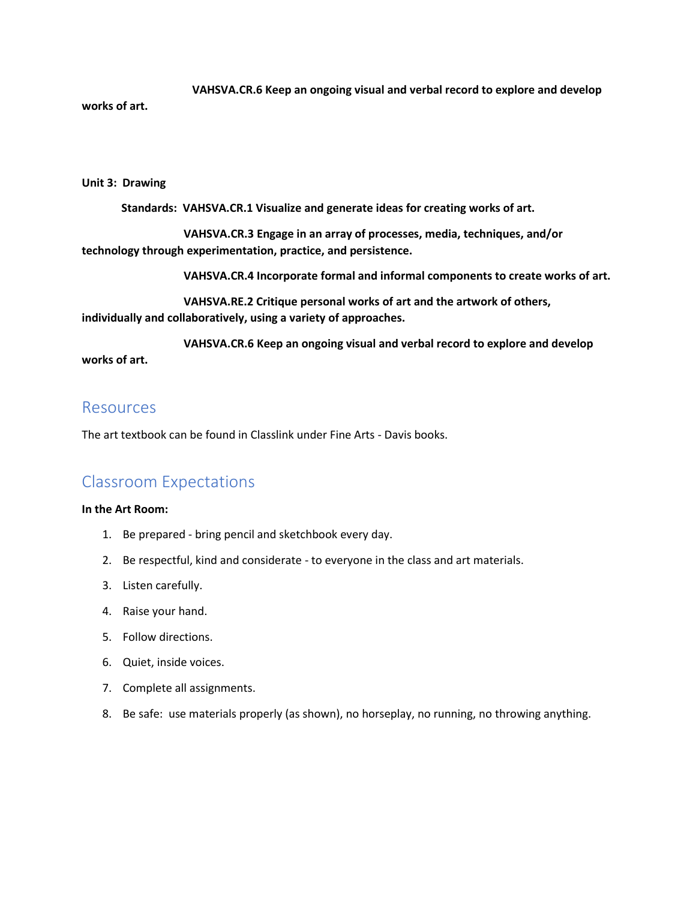**VAHSVA.CR.6 Keep an ongoing visual and verbal record to explore and develop works of art.**

#### **Unit 3: Drawing**

 **Standards: VAHSVA.CR.1 Visualize and generate ideas for creating works of art.**

 **VAHSVA.CR.3 Engage in an array of processes, media, techniques, and/or technology through experimentation, practice, and persistence.**

 **VAHSVA.CR.4 Incorporate formal and informal components to create works of art.**

 **VAHSVA.RE.2 Critique personal works of art and the artwork of others, individually and collaboratively, using a variety of approaches.**

 **VAHSVA.CR.6 Keep an ongoing visual and verbal record to explore and develop works of art.**

# Resources

The art textbook can be found in Classlink under Fine Arts - Davis books.

# Classroom Expectations

#### **In the Art Room:**

- 1. Be prepared bring pencil and sketchbook every day.
- 2. Be respectful, kind and considerate to everyone in the class and art materials.
- 3. Listen carefully.
- 4. Raise your hand.
- 5. Follow directions.
- 6. Quiet, inside voices.
- 7. Complete all assignments.
- 8. Be safe: use materials properly (as shown), no horseplay, no running, no throwing anything.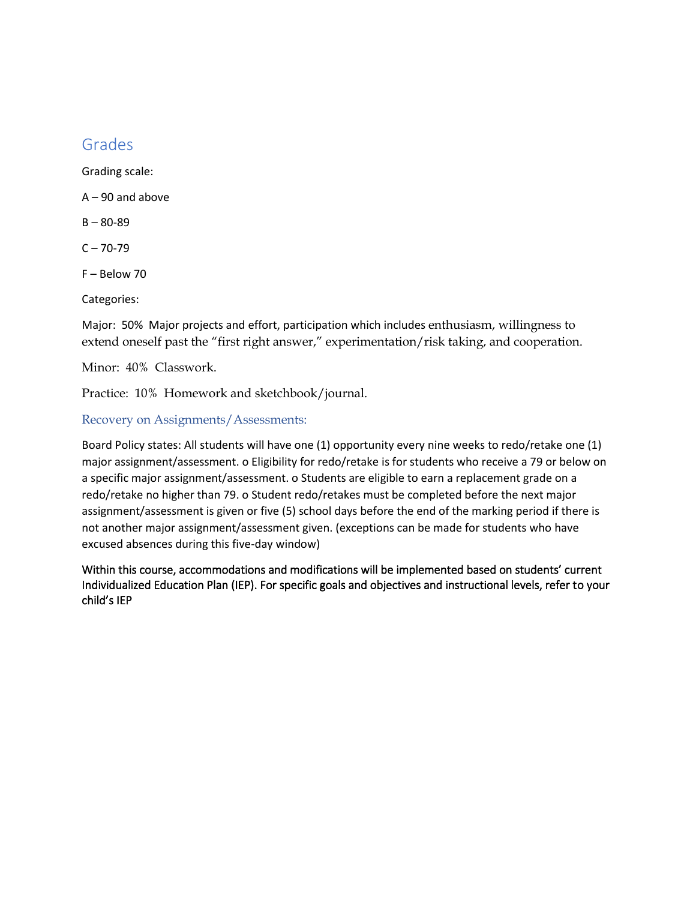# Grades

Grading scale:

A – 90 and above

B – 80-89

 $C - 70-79$ 

F – Below 70

Categories:

Major: 50% Major projects and effort, participation which includes enthusiasm, willingness to extend oneself past the "first right answer," experimentation/risk taking, and cooperation.

Minor: 40% Classwork.

Practice: 10% Homework and sketchbook/journal.

### Recovery on Assignments/Assessments:

Board Policy states: All students will have one (1) opportunity every nine weeks to redo/retake one (1) major assignment/assessment. o Eligibility for redo/retake is for students who receive a 79 or below on a specific major assignment/assessment. o Students are eligible to earn a replacement grade on a redo/retake no higher than 79. o Student redo/retakes must be completed before the next major assignment/assessment is given or five (5) school days before the end of the marking period if there is not another major assignment/assessment given. (exceptions can be made for students who have excused absences during this five-day window)

Within this course, accommodations and modifications will be implemented based on students' current Individualized Education Plan (IEP). For specific goals and objectives and instructional levels, refer to your child's IEP